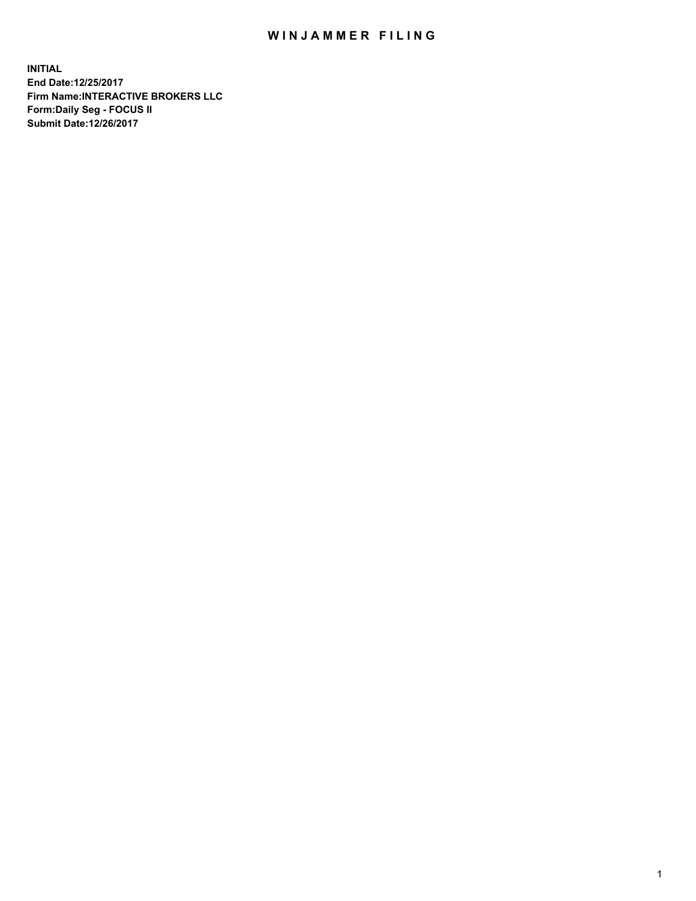## WIN JAMMER FILING

**INITIAL End Date:12/25/2017 Firm Name:INTERACTIVE BROKERS LLC Form:Daily Seg - FOCUS II Submit Date:12/26/2017**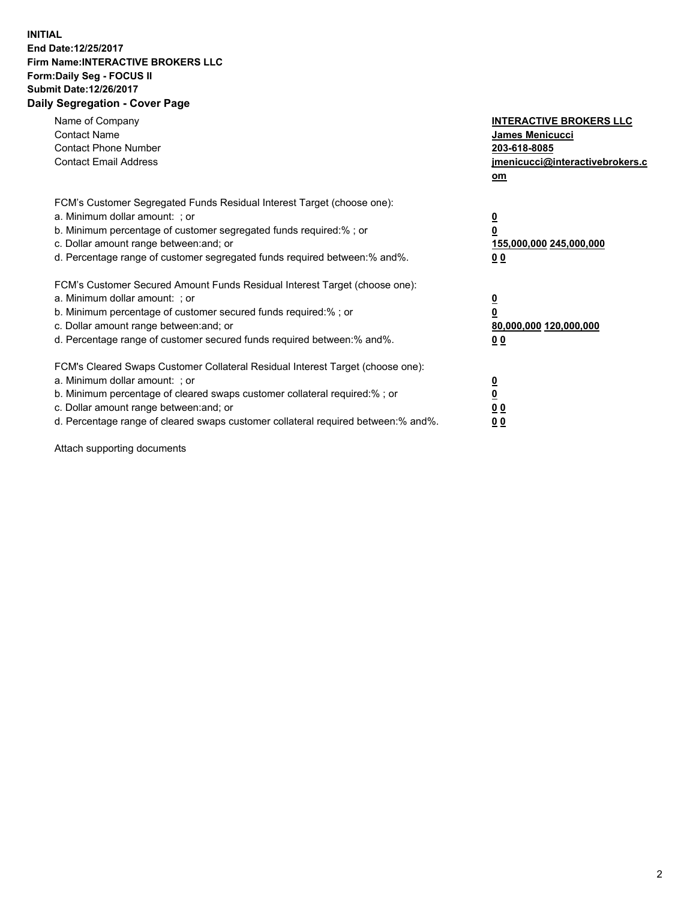## **INITIAL End Date:12/25/2017 Firm Name:INTERACTIVE BROKERS LLC Form:Daily Seg - FOCUS II Submit Date:12/26/2017 Daily Segregation - Cover Page**

| Name of Company<br><b>Contact Name</b><br><b>Contact Phone Number</b><br><b>Contact Email Address</b>                                                                                                                                                                                                                          | <b>INTERACTIVE BROKERS LLC</b><br><b>James Menicucci</b><br>203-618-8085<br>jmenicucci@interactivebrokers.c<br>om |
|--------------------------------------------------------------------------------------------------------------------------------------------------------------------------------------------------------------------------------------------------------------------------------------------------------------------------------|-------------------------------------------------------------------------------------------------------------------|
| FCM's Customer Segregated Funds Residual Interest Target (choose one):<br>a. Minimum dollar amount: ; or<br>b. Minimum percentage of customer segregated funds required:% ; or<br>c. Dollar amount range between: and; or<br>d. Percentage range of customer segregated funds required between:% and%.                         | $\overline{\mathbf{0}}$<br>0<br><u>155,000,000 245,000,000</u><br><u>00</u>                                       |
| FCM's Customer Secured Amount Funds Residual Interest Target (choose one):<br>a. Minimum dollar amount: ; or<br>b. Minimum percentage of customer secured funds required:%; or<br>c. Dollar amount range between: and; or<br>d. Percentage range of customer secured funds required between:% and%.                            | $\overline{\mathbf{0}}$<br>$\overline{\mathbf{0}}$<br>80,000,000 120,000,000<br>00                                |
| FCM's Cleared Swaps Customer Collateral Residual Interest Target (choose one):<br>a. Minimum dollar amount: ; or<br>b. Minimum percentage of cleared swaps customer collateral required:% ; or<br>c. Dollar amount range between: and; or<br>d. Percentage range of cleared swaps customer collateral required between:% and%. | $\underline{\mathbf{0}}$<br>$\underline{\mathbf{0}}$<br>0 <sub>0</sub><br>0 <sub>0</sub>                          |

Attach supporting documents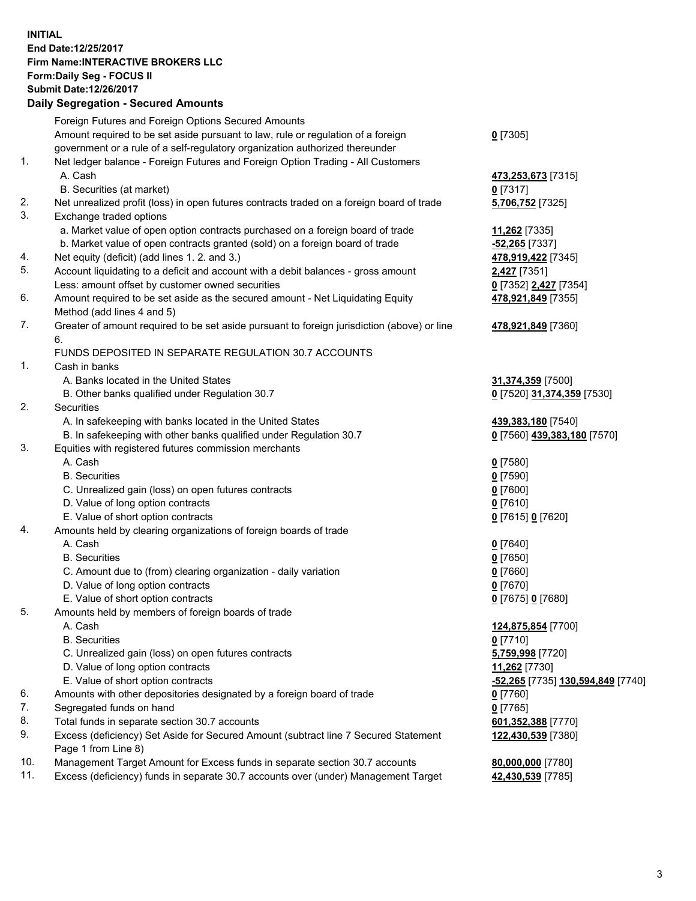## **INITIAL End Date:12/25/2017 Firm Name:INTERACTIVE BROKERS LLC Form:Daily Seg - FOCUS II Submit Date:12/26/2017**

|     | <b>Daily Segregation - Secured Amounts</b>                                                  |                                   |  |  |  |  |
|-----|---------------------------------------------------------------------------------------------|-----------------------------------|--|--|--|--|
|     | Foreign Futures and Foreign Options Secured Amounts                                         |                                   |  |  |  |  |
|     | Amount required to be set aside pursuant to law, rule or regulation of a foreign            | $0$ [7305]                        |  |  |  |  |
|     | government or a rule of a self-regulatory organization authorized thereunder                |                                   |  |  |  |  |
| 1.  | Net ledger balance - Foreign Futures and Foreign Option Trading - All Customers             |                                   |  |  |  |  |
|     | A. Cash                                                                                     | 473,253,673 [7315]                |  |  |  |  |
|     | B. Securities (at market)                                                                   | $0$ [7317]                        |  |  |  |  |
| 2.  | Net unrealized profit (loss) in open futures contracts traded on a foreign board of trade   | 5,706,752 [7325]                  |  |  |  |  |
| 3.  | Exchange traded options                                                                     |                                   |  |  |  |  |
|     | a. Market value of open option contracts purchased on a foreign board of trade              | 11,262 [7335]                     |  |  |  |  |
|     | b. Market value of open contracts granted (sold) on a foreign board of trade                | -52,265 [7337]                    |  |  |  |  |
| 4.  | Net equity (deficit) (add lines 1.2. and 3.)                                                | 478,919,422 [7345]                |  |  |  |  |
| 5.  | Account liquidating to a deficit and account with a debit balances - gross amount           | 2,427 [7351]                      |  |  |  |  |
|     | Less: amount offset by customer owned securities                                            | 0 [7352] 2,427 [7354]             |  |  |  |  |
| 6.  | Amount required to be set aside as the secured amount - Net Liquidating Equity              | 478,921,849 [7355]                |  |  |  |  |
|     | Method (add lines 4 and 5)                                                                  |                                   |  |  |  |  |
| 7.  | Greater of amount required to be set aside pursuant to foreign jurisdiction (above) or line | 478,921,849 [7360]                |  |  |  |  |
|     | 6.                                                                                          |                                   |  |  |  |  |
|     | FUNDS DEPOSITED IN SEPARATE REGULATION 30.7 ACCOUNTS                                        |                                   |  |  |  |  |
| 1.  | Cash in banks                                                                               |                                   |  |  |  |  |
|     | A. Banks located in the United States                                                       | 31,374,359 [7500]                 |  |  |  |  |
|     | B. Other banks qualified under Regulation 30.7                                              | 0 [7520] 31,374,359 [7530]        |  |  |  |  |
| 2.  | Securities                                                                                  |                                   |  |  |  |  |
|     | A. In safekeeping with banks located in the United States                                   | 439,383,180 [7540]                |  |  |  |  |
|     | B. In safekeeping with other banks qualified under Regulation 30.7                          | 0 [7560] 439,383,180 [7570]       |  |  |  |  |
| 3.  | Equities with registered futures commission merchants                                       |                                   |  |  |  |  |
|     | A. Cash                                                                                     | $0$ [7580]                        |  |  |  |  |
|     | <b>B.</b> Securities                                                                        | $0$ [7590]                        |  |  |  |  |
|     | C. Unrealized gain (loss) on open futures contracts                                         | $0$ [7600]                        |  |  |  |  |
|     | D. Value of long option contracts                                                           | $0$ [7610]                        |  |  |  |  |
|     | E. Value of short option contracts                                                          | 0 [7615] 0 [7620]                 |  |  |  |  |
| 4.  | Amounts held by clearing organizations of foreign boards of trade                           |                                   |  |  |  |  |
|     | A. Cash                                                                                     | $0$ [7640]                        |  |  |  |  |
|     | <b>B.</b> Securities                                                                        | $0$ [7650]                        |  |  |  |  |
|     | C. Amount due to (from) clearing organization - daily variation                             | $0$ [7660]                        |  |  |  |  |
|     | D. Value of long option contracts                                                           | $0$ [7670]                        |  |  |  |  |
|     | E. Value of short option contracts                                                          | 0 [7675] 0 [7680]                 |  |  |  |  |
| 5.  | Amounts held by members of foreign boards of trade                                          |                                   |  |  |  |  |
|     | A. Cash                                                                                     | 124,875,854 [7700]                |  |  |  |  |
|     | <b>B.</b> Securities                                                                        | $0$ [7710]                        |  |  |  |  |
|     | C. Unrealized gain (loss) on open futures contracts                                         | 5,759,998 [7720]                  |  |  |  |  |
|     | D. Value of long option contracts                                                           | 11,262 [7730]                     |  |  |  |  |
|     | E. Value of short option contracts                                                          | -52,265 [7735] 130,594,849 [7740] |  |  |  |  |
| 6.  | Amounts with other depositories designated by a foreign board of trade                      | $0$ [7760]                        |  |  |  |  |
| 7.  | Segregated funds on hand                                                                    | $0$ [7765]                        |  |  |  |  |
| 8.  | Total funds in separate section 30.7 accounts                                               | 601,352,388 [7770]                |  |  |  |  |
| 9.  | Excess (deficiency) Set Aside for Secured Amount (subtract line 7 Secured Statement         | 122,430,539 [7380]                |  |  |  |  |
|     | Page 1 from Line 8)                                                                         |                                   |  |  |  |  |
| 10. | Management Target Amount for Excess funds in separate section 30.7 accounts                 | 80,000,000 [7780]                 |  |  |  |  |
| 11. | Excess (deficiency) funds in separate 30.7 accounts over (under) Management Target          | 42,430,539 [7785]                 |  |  |  |  |
|     |                                                                                             |                                   |  |  |  |  |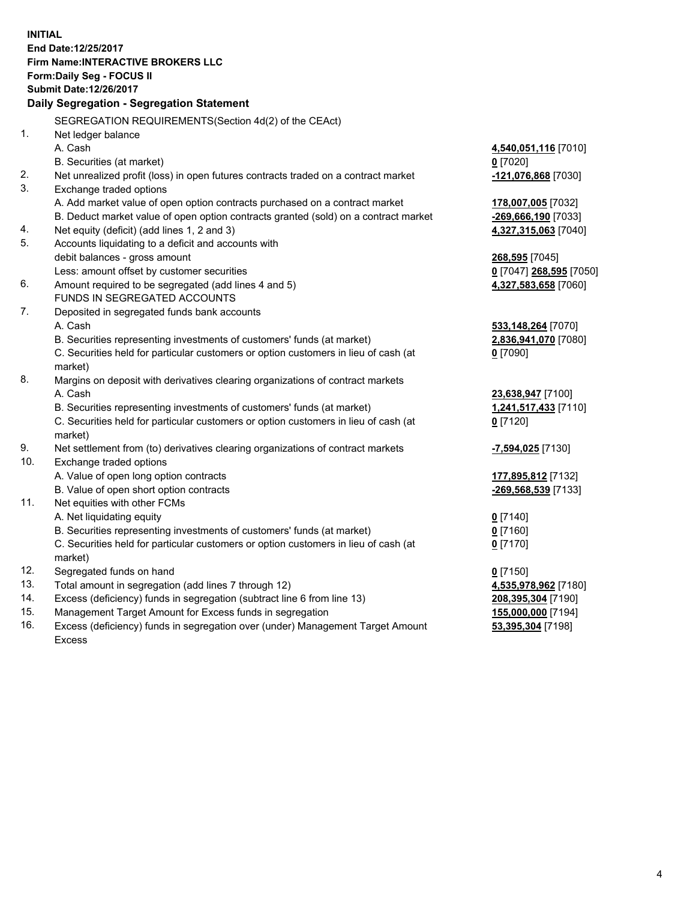**INITIAL End Date:12/25/2017 Firm Name:INTERACTIVE BROKERS LLC Form:Daily Seg - FOCUS II Submit Date:12/26/2017 Daily Segregation - Segregation Statement** SEGREGATION REQUIREMENTS(Section 4d(2) of the CEAct) 1. Net ledger balance A. Cash **4,540,051,116** [7010] B. Securities (at market) **0** [7020] 2. Net unrealized profit (loss) in open futures contracts traded on a contract market **-121,076,868** [7030] 3. Exchange traded options A. Add market value of open option contracts purchased on a contract market **178,007,005** [7032] B. Deduct market value of open option contracts granted (sold) on a contract market **-269,666,190** [7033] 4. Net equity (deficit) (add lines 1, 2 and 3) **4,327,315,063** [7040] 5. Accounts liquidating to a deficit and accounts with debit balances - gross amount **268,595** [7045] Less: amount offset by customer securities **0** [7047] **268,595** [7050] 6. Amount required to be segregated (add lines 4 and 5) **4,327,583,658** [7060] FUNDS IN SEGREGATED ACCOUNTS 7. Deposited in segregated funds bank accounts A. Cash **533,148,264** [7070] B. Securities representing investments of customers' funds (at market) **2,836,941,070** [7080] C. Securities held for particular customers or option customers in lieu of cash (at market) **0** [7090] 8. Margins on deposit with derivatives clearing organizations of contract markets A. Cash **23,638,947** [7100] B. Securities representing investments of customers' funds (at market) **1,241,517,433** [7110] C. Securities held for particular customers or option customers in lieu of cash (at market) **0** [7120] 9. Net settlement from (to) derivatives clearing organizations of contract markets **-7,594,025** [7130] 10. Exchange traded options A. Value of open long option contracts **177,895,812** [7132] B. Value of open short option contracts **-269,568,539** [7133] 11. Net equities with other FCMs A. Net liquidating equity **0** [7140] B. Securities representing investments of customers' funds (at market) **0** [7160] C. Securities held for particular customers or option customers in lieu of cash (at market) **0** [7170] 12. Segregated funds on hand **0** [7150] 13. Total amount in segregation (add lines 7 through 12) **4,535,978,962** [7180] 14. Excess (deficiency) funds in segregation (subtract line 6 from line 13) **208,395,304** [7190] 15. Management Target Amount for Excess funds in segregation **155,000,000** [7194] **53,395,304** [7198]

16. Excess (deficiency) funds in segregation over (under) Management Target Amount Excess